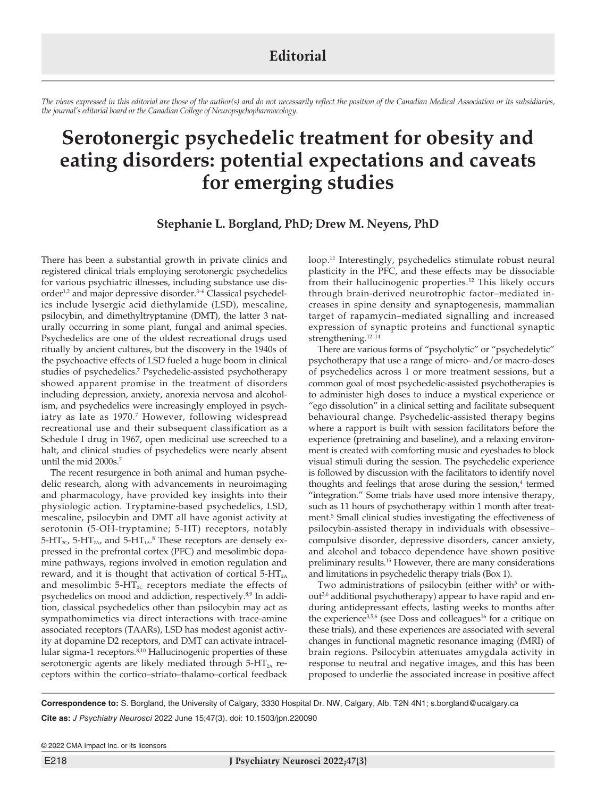## **Editorial**

*The views expressed in this editorial are those of the author(s) and do not necessarily reflect the position of the Canadian Medical Association or its subsidiaries, the journal's editorial board or the Canadian College of Neuropsychopharmacology.*

## **Serotonergic psychedelic treatment for obesity and eating disorders: potential expectations and caveats for emerging studies**

**Stephanie L. Borgland, PhD; Drew M. Neyens, PhD**

There has been a substantial growth in private clinics and registered clinical trials employing serotonergic psychedelics for various psychiatric illnesses, including substance use disorder<sup>1,2</sup> and major depressive disorder.<sup>3-6</sup> Classical psychedelics include lysergic acid diethylamide (LSD), mescaline, psilocybin, and dimethyltryptamine (DMT), the latter 3 naturally occurring in some plant, fungal and animal species. Psychedelics are one of the oldest recreational drugs used ritually by ancient cultures, but the discovery in the 1940s of the psychoactive effects of LSD fueled a huge boom in clinical studies of psychedelics.7 Psychedelic-assisted psychotherapy showed apparent promise in the treatment of disorders including depression, anxiety, anorexia nervosa and alcoholism, and psychedelics were increasingly employed in psychiatry as late as 1970.<sup>7</sup> However, following widespread recreational use and their subsequent classification as a Schedule I drug in 1967, open medicinal use screeched to a halt, and clinical studies of psychedelics were nearly absent until the mid 2000s.<sup>7</sup>

The recent resurgence in both animal and human psychedelic research, along with advancements in neuroimaging and pharmacology, have provided key insights into their physiologic action. Tryptamine-based psychedelics, LSD, mescaline, psilocybin and DMT all have agonist activity at serotonin (5-OH-tryptamine; 5-HT) receptors, notably  $5$ -HT<sub>2C</sub>,  $5$ -HT<sub>2A</sub>, and  $5$ -HT<sub>1A</sub>.<sup>8</sup> These receptors are densely expressed in the prefrontal cortex (PFC) and mesolimbic dopamine pathways, regions involved in emotion regulation and reward, and it is thought that activation of cortical  $5-HT<sub>2A</sub>$ and mesolimbic  $5-HT_{2C}$  receptors mediate the effects of psychedelics on mood and addiction, respectively.8,9 In addition, classical psychedelics other than psilocybin may act as sympathomimetics via direct interactions with trace-amine associated receptors (TAARs), LSD has modest agonist activity at dopamine D2 receptors, and DMT can activate intracellular sigma-1 receptors.<sup>8,10</sup> Hallucinogenic properties of these serotonergic agents are likely mediated through  $5-HT<sub>2A</sub>$  receptors within the cortico–striato–thalamo–cortical feedback

loop.11 Interestingly, psychedelics stimulate robust neural plasticity in the PFC, and these effects may be dissociable from their hallucinogenic properties.<sup>12</sup> This likely occurs through brain-derived neurotrophic factor–mediated increases in spine density and synaptogenesis, mammalian target of rapamycin–mediated signalling and increased expression of synaptic proteins and functional synaptic strengthening.<sup>12-14</sup>

There are various forms of "psycholytic" or "psychedelytic" psychotherapy that use a range of micro- and/or macro-doses of psychedelics across 1 or more treatment sessions, but a common goal of most psychedelic-assisted psychotherapies is to administer high doses to induce a mystical experience or "ego dissolution" in a clinical setting and facilitate subsequent behavioural change. Psychedelic-assisted therapy begins where a rapport is built with session facilitators before the experience (pretraining and baseline), and a relaxing environment is created with comforting music and eyeshades to block visual stimuli during the session. The psychedelic experience is followed by discussion with the facilitators to identify novel thoughts and feelings that arose during the session,<sup>4</sup> termed "integration." Some trials have used more intensive therapy, such as 11 hours of psychotherapy within 1 month after treatment.5 Small clinical studies investigating the effectiveness of psilocybin-assisted therapy in individuals with obsessive– compulsive disorder, depressive disorders, cancer anxiety, and alcohol and tobacco dependence have shown positive preliminary results.15 However, there are many considerations and limitations in psychedelic therapy trials (Box 1).

Two administrations of psilocybin (either with<sup>5</sup> or without<sup>3,6</sup> additional psychotherapy) appear to have rapid and enduring antidepressant effects, lasting weeks to months after the experience<sup>3,5,6</sup> (see Doss and colleagues<sup>16</sup> for a critique on these trials), and these experiences are associated with several changes in functional magnetic resonance imaging (fMRI) of brain regions. Psilocybin attenuates amygdala activity in response to neutral and negative images, and this has been proposed to underlie the associated increase in positive affect

**Correspondence to:** S. Borgland, the University of Calgary, 3330 Hospital Dr. NW, Calgary, Alb. T2N 4N1; s.borgland@ucalgary.ca **Cite as:** *J Psychiatry Neurosci* 2022 June 15;47(3). doi: 10.1503/jpn.220090

© 2022 CMA Impact Inc. or its licensors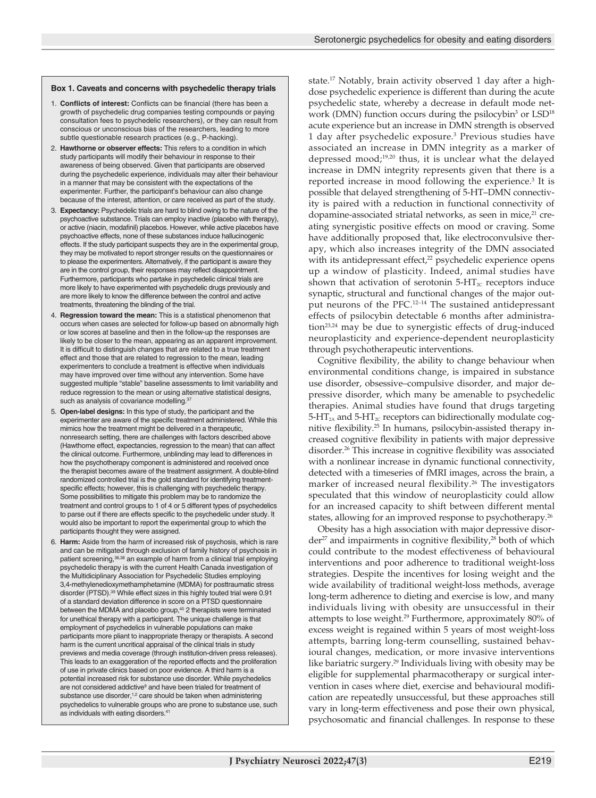## **Box 1. Caveats and concerns with psychedelic therapy trials**

- 1. **Conflicts of interest:** Conflicts can be financial (there has been a growth of psychedelic drug companies testing compounds or paying consultation fees to psychedelic researchers), or they can result from conscious or unconscious bias of the researchers, leading to more subtle questionable research practices (e.g., P-hacking).
- 2. **Hawthorne or observer effects:** This refers to a condition in which study participants will modify their behaviour in response to their awareness of being observed. Given that participants are observed during the psychedelic experience, individuals may alter their behaviour in a manner that may be consistent with the expectations of the experimenter. Further, the participant's behaviour can also change because of the interest, attention, or care received as part of the study.
- 3. **Expectancy:** Psychedelic trials are hard to blind owing to the nature of the psychoactive substance. Trials can employ inactive (placebo with therapy), or active (niacin, modafinil) placebos. However, while active placebos have psychoactive effects, none of these substances induce hallucinogenic effects. If the study participant suspects they are in the experimental group, they may be motivated to report stronger results on the questionnaires or to please the experimenters. Alternatively, if the participant is aware they are in the control group, their responses may reflect disappointment. Furthermore, participants who partake in psychedelic clinical trials are more likely to have experimented with psychedelic drugs previously and are more likely to know the difference between the control and active treatments, threatening the blinding of the trial.
- 4. **Regression toward the mean:** This is a statistical phenomenon that occurs when cases are selected for follow-up based on abnormally high or low scores at baseline and then in the follow-up the responses are likely to be closer to the mean, appearing as an apparent improvement. It is difficult to distinguish changes that are related to a true treatment effect and those that are related to regression to the mean, leading experimenters to conclude a treatment is effective when individuals may have improved over time without any intervention. Some have suggested multiple "stable" baseline assessments to limit variability and reduce regression to the mean or using alternative statistical designs, such as analysis of covariance modelling. 37
- 5. **Open-label designs:** In this type of study, the participant and the experimenter are aware of the specific treatment administered. While this mimics how the treatment might be delivered in a therapeutic, nonresearch setting, there are challenges with factors described above (Hawthorne effect, expectancies, regression to the mean) that can affect the clinical outcome. Furthermore, unblinding may lead to differences in how the psychotherapy component is administered and received once the therapist becomes aware of the treatment assignment. A double-blind randomized controlled trial is the gold standard for identifying treatmentspecific effects; however, this is challenging with psychedelic therapy. Some possibilities to mitigate this problem may be to randomize the treatment and control groups to 1 of 4 or 5 different types of psychedelics to parse out if there are effects specific to the psychedelic under study. It would also be important to report the experimental group to which the participants thought they were assigned.
- 6. **Harm:** Aside from the harm of increased risk of psychosis, which is rare and can be mitigated through exclusion of family history of psychosis in patient screening,<sup>36,38</sup> an example of harm from a clinical trial employing psychedelic therapy is with the current Health Canada investigation of the Multidiciplinary Association for Psychedelic Studies employing 3,4-methylenedioxymethamphetamine (MDMA) for posttraumatic stress disorder (PTSD).<sup>39</sup> While effect sizes in this highly touted trial were 0.91 of a standard deviation difference in score on a PTSD questionnaire between the MDMA and placebo group,<sup>40</sup> 2 therapists were terminated for unethical therapy with a participant. The unique challenge is that employment of psychedelics in vulnerable populations can make participants more pliant to inappropriate therapy or therapists. A second harm is the current uncritical appraisal of the clinical trials in study previews and media coverage (through institution-driven press releases). This leads to an exaggeration of the reported effects and the proliferation of use in private clinics based on poor evidence. A third harm is a potential increased risk for substance use disorder. While psychedelics are not considered addictive<sup>9</sup> and have been trialed for treatment of substance use disorder,<sup>1,2</sup> care should be taken when administering psychedelics to vulnerable groups who are prone to substance use, such as individuals with eating disorders.41

state.17 Notably, brain activity observed 1 day after a highdose psychedelic experience is different than during the acute psychedelic state, whereby a decrease in default mode network (DMN) function occurs during the psilocybin<sup>3</sup> or LSD<sup>18</sup> acute experience but an increase in DMN strength is observed 1 day after psychedelic exposure.3 Previous studies have associated an increase in DMN integrity as a marker of depressed mood;<sup>19,20</sup> thus, it is unclear what the delayed increase in DMN integrity represents given that there is a reported increase in mood following the experience.<sup>3</sup> It is possible that delayed strengthening of 5-HT–DMN connectivity is paired with a reduction in functional connectivity of dopamine-associated striatal networks, as seen in mice,<sup>21</sup> creating synergistic positive effects on mood or craving. Some have additionally proposed that, like electroconvulsive therapy, which also increases integrity of the DMN associated with its antidepressant effect,<sup>22</sup> psychedelic experience opens up a window of plasticity. Indeed, animal studies have shown that activation of serotonin  $5-\text{HT}_{2C}$  receptors induce synaptic, structural and functional changes of the major output neurons of the PFC.<sup>12-14</sup> The sustained antidepressant effects of psilocybin detectable 6 months after administration<sup>23,24</sup> may be due to synergistic effects of drug-induced neuroplasticity and experience-dependent neuroplasticity through psychotherapeutic interventions.

Cognitive flexibility, the ability to change behaviour when environmental conditions change, is impaired in substance use disorder, obsessive–compulsive disorder, and major depressive disorder, which many be amenable to psychedelic therapies. Animal studies have found that drugs targeting  $5-HT_{2A}$  and  $5-HT_{2C}$  receptors can bidirectionally modulate cognitive flexibility.25 In humans, psilocybin-assisted therapy increased cognitive flexibility in patients with major depressive disorder.26 This increase in cognitive flexibility was associated with a nonlinear increase in dynamic functional connectivity, detected with a timeseries of fMRI images, across the brain, a marker of increased neural flexibility.<sup>26</sup> The investigators speculated that this window of neuroplasticity could allow for an increased capacity to shift between different mental states, allowing for an improved response to psychotherapy.<sup>26</sup>

Obesity has a high association with major depressive disor $der^{27}$  and impairments in cognitive flexibility,<sup>28</sup> both of which could contribute to the modest effectiveness of behavioural interventions and poor adherence to traditional weight-loss strategies. Despite the incentives for losing weight and the wide availability of traditional weight-loss methods, average long-term adherence to dieting and exercise is low, and many individuals living with obesity are unsuccessful in their attempts to lose weight.29 Furthermore, approximately 80% of excess weight is regained within 5 years of most weight-loss attempts, barring long-term counselling, sustained behavioural changes, medication, or more invasive interventions like bariatric surgery.<sup>29</sup> Individuals living with obesity may be eligible for supplemental pharmacotherapy or surgical intervention in cases where diet, exercise and behavioural modification are repeatedly unsuccessful, but these approaches still vary in long-term effectiveness and pose their own physical, psychosomatic and financial challenges. In response to these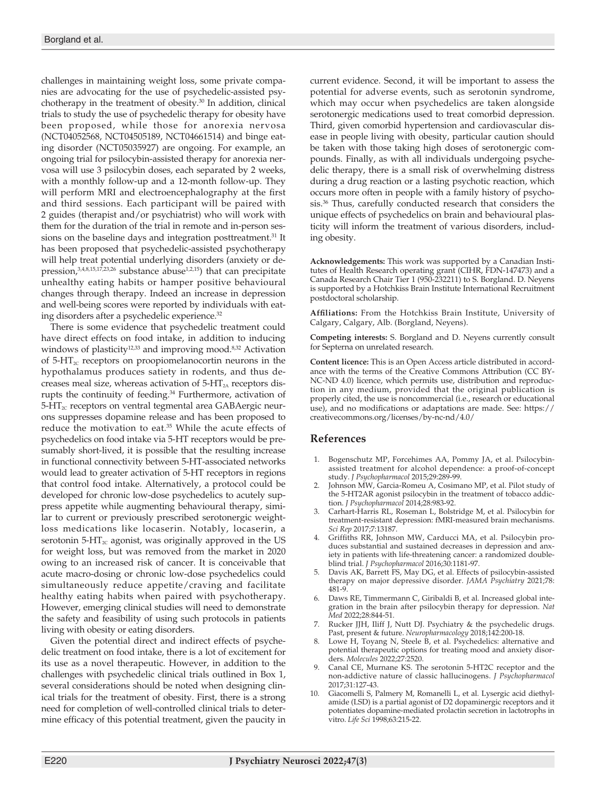challenges in maintaining weight loss, some private companies are advocating for the use of psychedelic-assisted psychotherapy in the treatment of obesity.<sup>30</sup> In addition, clinical trials to study the use of psychedelic therapy for obesity have been proposed, while those for anorexia nervosa (NCT04052568, NCT04505189, NCT04661514) and binge eating disorder (NCT05035927) are ongoing. For example, an ongoing trial for psilocybin-assisted therapy for anorexia nervosa will use 3 psilocybin doses, each separated by 2 weeks, with a monthly follow-up and a 12-month follow-up. They will perform MRI and electroencephalography at the first and third sessions. Each participant will be paired with 2 guides (therapist and/or psychiatrist) who will work with them for the duration of the trial in remote and in-person sessions on the baseline days and integration posttreatment.<sup>31</sup> It has been proposed that psychedelic-assisted psychotherapy will help treat potential underlying disorders (anxiety or depression, $3,4,8,15,17,23,26$  substance abuse<sup>1,2,15</sup>) that can precipitate unhealthy eating habits or hamper positive behavioural changes through therapy. Indeed an increase in depression and well-being scores were reported by individuals with eating disorders after a psychedelic experience.32

There is some evidence that psychedelic treatment could have direct effects on food intake, in addition to inducing windows of plasticity<sup>12,33</sup> and improving mood.<sup>8,32</sup> Activation of  $5-\text{HT}_{2c}$  receptors on proopiomelanocortin neurons in the hypothalamus produces satiety in rodents, and thus decreases meal size, whereas activation of  $5-HT<sub>2A</sub>$  receptors disrupts the continuity of feeding.<sup>34</sup> Furthermore, activation of  $5-\text{HT}_{2c}$  receptors on ventral tegmental area GABAergic neurons suppresses dopamine release and has been proposed to reduce the motivation to eat.<sup>35</sup> While the acute effects of psychedelics on food intake via 5-HT receptors would be presumably short-lived, it is possible that the resulting increase in functional connectivity between 5-HT-associated networks would lead to greater activation of 5-HT receptors in regions that control food intake. Alternatively, a protocol could be developed for chronic low-dose psychedelics to acutely suppress appetite while augmenting behavioural therapy, similar to current or previously prescribed serotonergic weightloss medications like locaserin. Notably, locaserin, a serotonin 5-HT $_{\rm ac}$  agonist, was originally approved in the US for weight loss, but was removed from the market in 2020 owing to an increased risk of cancer. It is conceivable that acute macro-dosing or chronic low-dose psychedelics could simultaneously reduce appetite/craving and facilitate healthy eating habits when paired with psychotherapy. However, emerging clinical studies will need to demonstrate the safety and feasibility of using such protocols in patients living with obesity or eating disorders.

Given the potential direct and indirect effects of psychedelic treatment on food intake, there is a lot of excitement for its use as a novel therapeutic. However, in addition to the challenges with psychedelic clinical trials outlined in Box 1, several considerations should be noted when designing clinical trials for the treatment of obesity. First, there is a strong need for completion of well-controlled clinical trials to determine efficacy of this potential treatment, given the paucity in

current evidence. Second, it will be important to assess the potential for adverse events, such as serotonin syndrome, which may occur when psychedelics are taken alongside serotonergic medications used to treat comorbid depression. Third, given comorbid hypertension and cardiovascular disease in people living with obesity, particular caution should be taken with those taking high doses of serotonergic compounds. Finally, as with all individuals undergoing psychedelic therapy, there is a small risk of overwhelming distress during a drug reaction or a lasting psychotic reaction, which occurs more often in people with a family history of psychosis.36 Thus, carefully conducted research that considers the unique effects of psychedelics on brain and behavioural plasticity will inform the treatment of various disorders, including obesity.

**Acknowledgements:** This work was supported by a Canadian Institutes of Health Research operating grant (CIHR, FDN-147473) and a Canada Research Chair Tier 1 (950-232211) to S. Borgland. D. Neyens is supported by a Hotchkiss Brain Institute International Recruitment postdoctoral scholarship.

**Affiliations:** From the Hotchkiss Brain Institute, University of Calgary, Calgary, Alb. (Borgland, Neyens).

**Competing interests:** S. Borgland and D. Neyens currently consult for Septerna on unrelated research.

**Content licence:** This is an Open Access article distributed in accordance with the terms of the Creative Commons Attribution (CC BY-NC-ND 4.0) licence, which permits use, distribution and reproduction in any medium, provided that the original publication is properly cited, the use is noncommercial (i.e., research or educational use), and no modifications or adaptations are made. See: https:// creativecommons.org/licenses/by-nc-nd/4.0/

## **References**

- 1. Bogenschutz MP, Forcehimes AA, Pommy JA, et al. Psilocybin-assisted treatment for alcohol dependence: a proof-of-concept study. *J Psychopharmacol* 2015;29:289-99.
- 2. Johnson MW, Garcia-Romeu A, Cosimano MP, et al. Pilot study of the 5-HT2AR agonist psilocybin in the treatment of tobacco addiction. *J Psychopharmacol* 2014;28:983-92.
- 3. Carhart-Harris RL, Roseman L, Bolstridge M, et al. Psilocybin for treatment-resistant depression: fMRI-measured brain mechanisms. *Sci Rep* 2017;7:13187.
- 4. Griffiths RR, Johnson MW, Carducci MA, et al. Psilocybin produces substantial and sustained decreases in depression and anxiety in patients with life-threatening cancer: a randomized doubleblind trial. *J Psychopharmacol* 2016;30:1181-97.
- 5. Davis AK, Barrett FS, May DG, et al. Effects of psilocybin-assisted therapy on major depressive disorder. *JAMA Psychiatry* 2021;78: 481-9.
- Daws RE, Timmermann C, Giribaldi B, et al. Increased global integration in the brain after psilocybin therapy for depression. *Nat Med* 2022;28:844-51.
- 7. Rucker JJH, Iliff J, Nutt DJ. Psychiatry & the psychedelic drugs. Past, present & future. *Neuropharmacology* 2018;142:200-18.
- 8. Lowe H, Toyang N, Steele B, et al. Psychedelics: alternative and potential therapeutic options for treating mood and anxiety disorders. *Molecules* 2022;27:2520.
- Canal CE, Murnane KS. The serotonin 5-HT2C receptor and the non-addictive nature of classic hallucinogens. *J Psychopharmacol* 2017;31:127-43.
- Giacomelli S, Palmery M, Romanelli L, et al. Lysergic acid diethylamide (LSD) is a partial agonist of D2 dopaminergic receptors and it potentiates dopamine-mediated prolactin secretion in lactotrophs in vitro. *Life Sci* 1998;63:215-22.